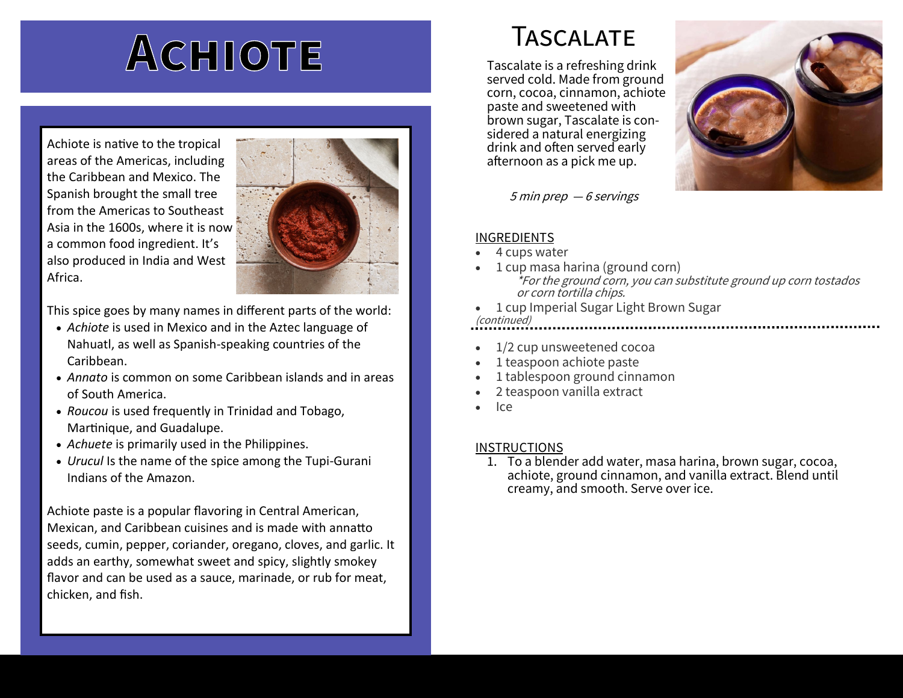# ACHIOTE

Achiote is native to the tropical areas of the Americas, including the Caribbean and Mexico. The Spanish brought the small tree from the Americas to Southeast Asia in the 1600s, where it is now a common food ingredient. It's also produced in India and West Africa.



This spice goes by many names in different parts of the world:

- *Achiote* is used in Mexico and in the Aztec language of Nahuatl, as well as Spanish-speaking countries of the Caribbean.
- *Annato* is common on some Caribbean islands and in areas of South America.
- *Roucou* is used frequently in Trinidad and Tobago, Martinique, and Guadalupe.
- *Achuete* is primarily used in the Philippines.
- *Urucul* Is the name of the spice among the Tupi-Gurani Indians of the Amazon.

Achiote paste is a popular flavoring in Central American, Mexican, and Caribbean cuisines and is made with annatto seeds, cumin, pepper, coriander, oregano, cloves, and garlic. It adds an earthy, somewhat sweet and spicy, slightly smokey flavor and can be used as a sauce, marinade, or rub for meat, chicken, and fish.

## Tascalate

Tascalate is a refreshing drink served cold. Made from ground corn, cocoa, cinnamon, achiote paste and sweetened with brown sugar, Tascalate is considered a natural energizing drink and often served early afternoon as a pick me up.



5 min prep — 6 servings

#### INGREDIENTS

- 4 cups water
- 1 cup masa harina (ground corn) \*For the ground corn, you can substitute ground up corn tostados or corn tortilla chips.
- 1 cup Imperial Sugar Light Brown Sugar

### (continued)

- 1/2 cup unsweetened cocoa
- 1 teaspoon achiote paste
- 1 tablespoon ground cinnamon
- 2 teaspoon vanilla extract
- Ice

#### **INSTRUCTIONS**

1. To a blender add water, masa harina, brown sugar, cocoa, achiote, ground cinnamon, and vanilla extract. Blend until creamy, and smooth. Serve over ice.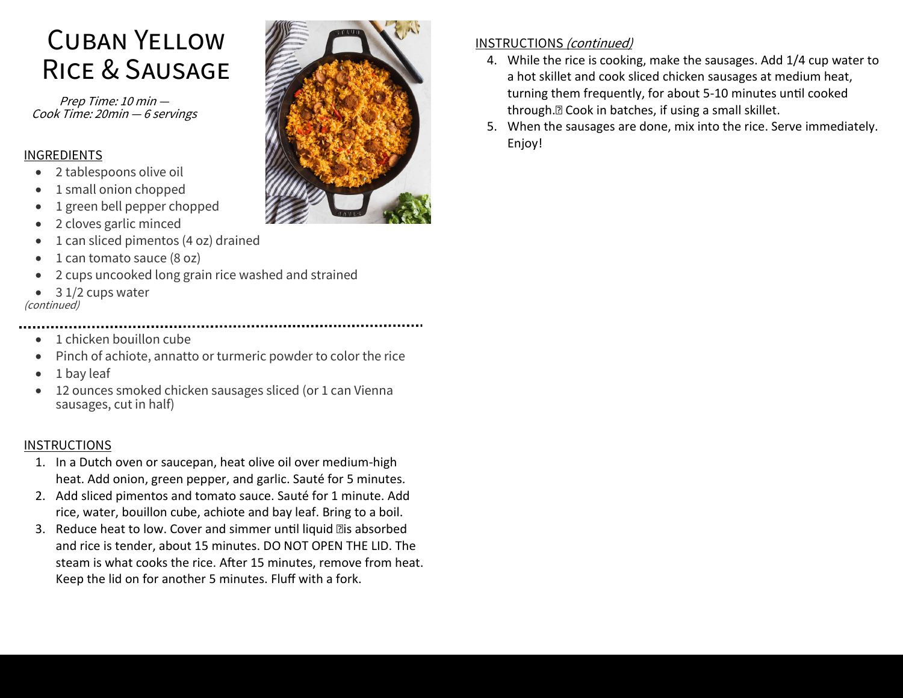# Cuban Yellow Rice & Sausage

Prep Time: 10 min — Cook Time: 20min — 6 servings

#### INGREDIENTS

- 2 tablespoons olive oil
- 1 small onion chopped
- 1 green bell pepper chopped
- 2 cloves garlic minced
- 1 can sliced pimentos (4 oz) drained
- 1 can tomato sauce (8 oz)
- 2 cups uncooked long grain rice washed and strained
- 3 1/2 cups water

(continued)

- 1 chicken bouillon cube
- Pinch of achiote, annatto or turmeric powder to color the rice
- 1 bay leaf
- 12 ounces smoked chicken sausages sliced (or 1 can Vienna sausages, cut in half)

#### **INSTRUCTIONS**

- 1. In a Dutch oven or saucepan, heat olive oil over medium-high heat. Add onion, green pepper, and garlic. Sauté for 5 minutes.
- 2. Add sliced pimentos and tomato sauce. Sauté for 1 minute. Add rice, water, bouillon cube, achiote and bay leaf. Bring to a boil.
- 3. Reduce heat to low. Cover and simmer until liquid as absorbed and rice is tender, about 15 minutes. DO NOT OPEN THE LID. The steam is what cooks the rice. After 15 minutes, remove from heat. Keep the lid on for another 5 minutes. Fluff with a fork.



#### INSTRUCTIONS (continued)

- 4. While the rice is cooking, make the sausages. Add 1/4 cup water to a hot skillet and cook sliced chicken sausages at medium heat, turning them frequently, for about 5-10 minutes until cooked through.
Cook in batches, if using a small skillet.
- 5. When the sausages are done, mix into the rice. Serve immediately. Enjoy!